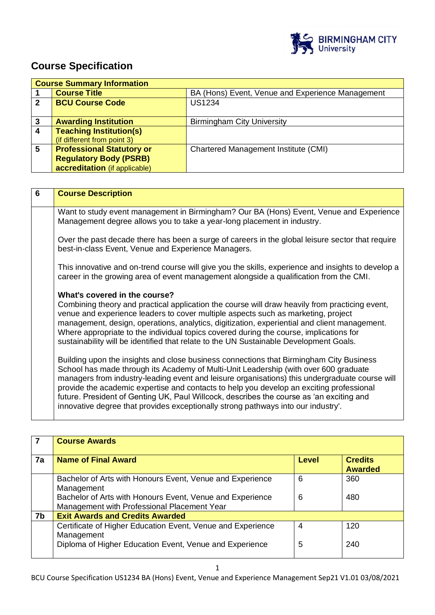

# **Course Specification**

|   | <b>Course Summary Information</b> |                                                  |
|---|-----------------------------------|--------------------------------------------------|
|   | <b>Course Title</b>               | BA (Hons) Event, Venue and Experience Management |
| 2 | <b>BCU Course Code</b>            | <b>US1234</b>                                    |
|   |                                   |                                                  |
| 3 | <b>Awarding Institution</b>       | <b>Birmingham City University</b>                |
| Δ | <b>Teaching Institution(s)</b>    |                                                  |
|   | (if different from point 3)       |                                                  |
| 5 | <b>Professional Statutory or</b>  | Chartered Management Institute (CMI)             |
|   | <b>Regulatory Body (PSRB)</b>     |                                                  |
|   | accreditation (if applicable)     |                                                  |

| 6 | <b>Course Description</b>                                                                                                                                                                                                                                                                                                                                                                                                                                                                                                                                      |
|---|----------------------------------------------------------------------------------------------------------------------------------------------------------------------------------------------------------------------------------------------------------------------------------------------------------------------------------------------------------------------------------------------------------------------------------------------------------------------------------------------------------------------------------------------------------------|
|   | Want to study event management in Birmingham? Our BA (Hons) Event, Venue and Experience<br>Management degree allows you to take a year-long placement in industry.                                                                                                                                                                                                                                                                                                                                                                                             |
|   | Over the past decade there has been a surge of careers in the global leisure sector that require<br>best-in-class Event, Venue and Experience Managers.                                                                                                                                                                                                                                                                                                                                                                                                        |
|   | This innovative and on-trend course will give you the skills, experience and insights to develop a<br>career in the growing area of event management alongside a qualification from the CMI.                                                                                                                                                                                                                                                                                                                                                                   |
|   | What's covered in the course?<br>Combining theory and practical application the course will draw heavily from practicing event,<br>venue and experience leaders to cover multiple aspects such as marketing, project<br>management, design, operations, analytics, digitization, experiential and client management.<br>Where appropriate to the individual topics covered during the course, implications for<br>sustainability will be identified that relate to the UN Sustainable Development Goals.                                                       |
|   | Building upon the insights and close business connections that Birmingham City Business<br>School has made through its Academy of Multi-Unit Leadership (with over 600 graduate<br>managers from industry-leading event and leisure organisations) this undergraduate course will<br>provide the academic expertise and contacts to help you develop an exciting professional<br>future. President of Genting UK, Paul Willcock, describes the course as 'an exciting and<br>innovative degree that provides exceptionally strong pathways into our industry'. |

|    | <b>Course Awards</b>                                                                                                                                                                |        |                                  |
|----|-------------------------------------------------------------------------------------------------------------------------------------------------------------------------------------|--------|----------------------------------|
| 7a | <b>Name of Final Award</b>                                                                                                                                                          | Level  | <b>Credits</b><br><b>Awarded</b> |
|    | Bachelor of Arts with Honours Event, Venue and Experience<br>Management<br>Bachelor of Arts with Honours Event, Venue and Experience<br>Management with Professional Placement Year | 6<br>6 | 360<br>480                       |
| 7b | <b>Exit Awards and Credits Awarded</b>                                                                                                                                              |        |                                  |
|    | Certificate of Higher Education Event, Venue and Experience<br>Management<br>Diploma of Higher Education Event, Venue and Experience                                                | 4<br>5 | 120<br>240                       |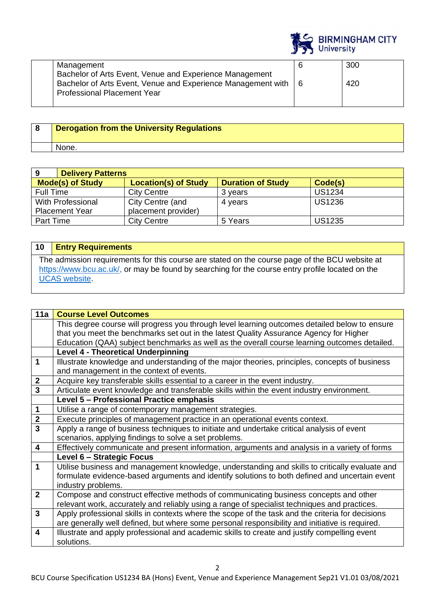|                                                                                                        |   | <b>BIRMINGHAM CITY</b><br><b>University</b> |
|--------------------------------------------------------------------------------------------------------|---|---------------------------------------------|
| Management<br>Bachelor of Arts Event, Venue and Experience Management                                  | 6 | 300                                         |
| Bachelor of Arts Event, Venue and Experience Management with   6<br><b>Professional Placement Year</b> |   | 420                                         |

| <b>Derogation from the University Regulations</b> |
|---------------------------------------------------|
| None.                                             |

| 9<br><b>Delivery Patterns</b> |                             |                          |               |  |
|-------------------------------|-----------------------------|--------------------------|---------------|--|
| <b>Mode(s) of Study</b>       | <b>Location(s) of Study</b> | <b>Duration of Study</b> | Code(s)       |  |
| Full Time                     | <b>City Centre</b>          | 3 vears                  | <b>US1234</b> |  |
| <b>With Professional</b>      | City Centre (and            | 4 years                  | <b>US1236</b> |  |
| <b>Placement Year</b>         | placement provider)         |                          |               |  |
| Part Time                     | <b>City Centre</b>          | 5 Years                  | <b>US1235</b> |  |

# **10 Entry Requirements**

The admission requirements for this course are stated on the course page of the BCU website at [https://www.bcu.ac.uk/,](https://www.bcu.ac.uk/) or may be found by searching for the course entry profile located on the [UCAS website.](https://www.ucas.com/)

| 11a                     | <b>Course Level Outcomes</b>                                                                     |
|-------------------------|--------------------------------------------------------------------------------------------------|
|                         | This degree course will progress you through level learning outcomes detailed below to ensure    |
|                         | that you meet the benchmarks set out in the latest Quality Assurance Agency for Higher           |
|                         | Education (QAA) subject benchmarks as well as the overall course learning outcomes detailed.     |
|                         | <b>Level 4 - Theoretical Underpinning</b>                                                        |
| $\overline{\mathbf{1}}$ | Illustrate knowledge and understanding of the major theories, principles, concepts of business   |
|                         | and management in the context of events.                                                         |
| $\mathbf{2}$            | Acquire key transferable skills essential to a career in the event industry.                     |
| $\overline{\mathbf{3}}$ | Articulate event knowledge and transferable skills within the event industry environment.        |
|                         | Level 5 - Professional Practice emphasis                                                         |
| $\overline{\mathbf{1}}$ | Utilise a range of contemporary management strategies.                                           |
| $\overline{2}$          | Execute principles of management practice in an operational events context.                      |
|                         | Apply a range of business techniques to initiate and undertake critical analysis of event        |
|                         | scenarios, applying findings to solve a set problems.                                            |
| $\overline{\mathbf{4}}$ | Effectively communicate and present information, arguments and analysis in a variety of forms    |
|                         | Level 6 - Strategic Focus                                                                        |
| $\overline{1}$          | Utilise business and management knowledge, understanding and skills to critically evaluate and   |
|                         | formulate evidence-based arguments and identify solutions to both defined and uncertain event    |
|                         | industry problems.                                                                               |
| $\overline{2}$          | Compose and construct effective methods of communicating business concepts and other             |
|                         | relevant work, accurately and reliably using a range of specialist techniques and practices.     |
| $\mathbf{3}$            | Apply professional skills in contexts where the scope of the task and the criteria for decisions |
|                         | are generally well defined, but where some personal responsibility and initiative is required.   |
| $\overline{\mathbf{4}}$ | Illustrate and apply professional and academic skills to create and justify compelling event     |
|                         | solutions.                                                                                       |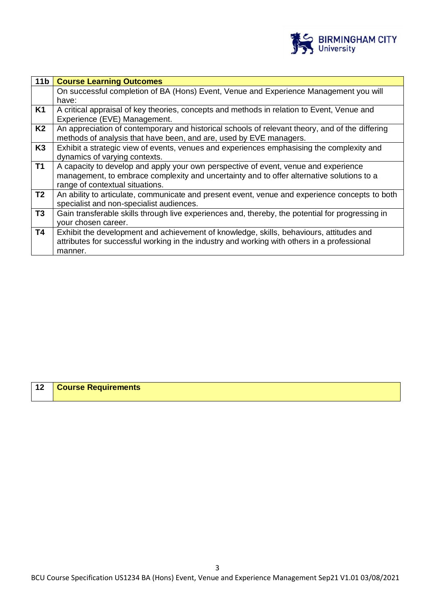

| 11 <sub>b</sub> | <b>Course Learning Outcomes</b>                                                                                                                                                                                     |
|-----------------|---------------------------------------------------------------------------------------------------------------------------------------------------------------------------------------------------------------------|
|                 | On successful completion of BA (Hons) Event, Venue and Experience Management you will<br>have:                                                                                                                      |
| K <sub>1</sub>  | A critical appraisal of key theories, concepts and methods in relation to Event, Venue and<br>Experience (EVE) Management.                                                                                          |
| K2              | An appreciation of contemporary and historical schools of relevant theory, and of the differing<br>methods of analysis that have been, and are, used by EVE managers.                                               |
| K <sub>3</sub>  | Exhibit a strategic view of events, venues and experiences emphasising the complexity and<br>dynamics of varying contexts.                                                                                          |
| <b>T1</b>       | A capacity to develop and apply your own perspective of event, venue and experience<br>management, to embrace complexity and uncertainty and to offer alternative solutions to a<br>range of contextual situations. |
| T <sub>2</sub>  | An ability to articulate, communicate and present event, venue and experience concepts to both<br>specialist and non-specialist audiences.                                                                          |
| T <sub>3</sub>  | Gain transferable skills through live experiences and, thereby, the potential for progressing in<br>your chosen career.                                                                                             |
| T4              | Exhibit the development and achievement of knowledge, skills, behaviours, attitudes and<br>attributes for successful working in the industry and working with others in a professional<br>manner.                   |

| 12<br><b>Course Requirements</b> |
|----------------------------------|
|----------------------------------|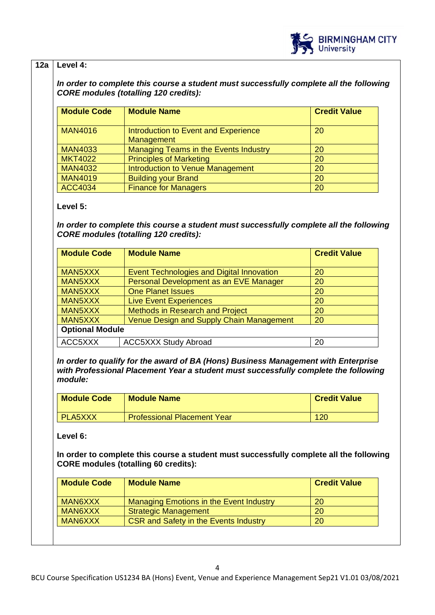

### **12a Level 4:**

*In order to complete this course a student must successfully complete all the following CORE modules (totalling 120 credits):*

| <b>Module Code</b> | <b>Module Name</b>                                 | <b>Credit Value</b> |
|--------------------|----------------------------------------------------|---------------------|
| <b>MAN4016</b>     | Introduction to Event and Experience<br>Management | 20                  |
| <b>MAN4033</b>     | Managing Teams in the Events Industry              | 20                  |
| <b>MKT4022</b>     | <b>Principles of Marketing</b>                     | 20                  |
| <b>MAN4032</b>     | Introduction to Venue Management                   | 20                  |
| <b>MAN4019</b>     | <b>Building your Brand</b>                         | 20                  |
| <b>ACC4034</b>     | <b>Finance for Managers</b>                        | 20                  |

#### **Level 5:**

*In order to complete this course a student must successfully complete all the following CORE modules (totalling 120 credits):*

| <b>Module Code</b>     | <b>Module Name</b>                        | <b>Credit Value</b> |  |
|------------------------|-------------------------------------------|---------------------|--|
| MAN5XXX                | Event Technologies and Digital Innovation | 20                  |  |
| MAN5XXX                | Personal Development as an EVE Manager    | 20                  |  |
| MAN5XXX                | <b>One Planet Issues</b>                  | 20                  |  |
| MAN5XXX                | <b>Live Event Experiences</b>             | 20                  |  |
| MAN5XXX                | <b>Methods in Research and Project</b>    | 20                  |  |
| MAN5XXX                | Venue Design and Supply Chain Management  | <b>20</b>           |  |
| <b>Optional Module</b> |                                           |                     |  |
| ACC5XXX                | <b>ACC5XXX Study Abroad</b>               | 20                  |  |

*In order to qualify for the award of BA (Hons) Business Management with Enterprise with Professional Placement Year a student must successfully complete the following module:*

| <b>Module Code</b> | <b>Module Name</b>                 | <b>Credit Value</b> |
|--------------------|------------------------------------|---------------------|
| <b>PLA5XXX</b>     | <b>Professional Placement Year</b> | <u> 120</u>         |

#### **Level 6:**

**In order to complete this course a student must successfully complete all the following CORE modules (totalling 60 credits):**

| <b>Module Code</b> | <b>Module Name</b>                           | <b>Credit Value</b> |
|--------------------|----------------------------------------------|---------------------|
| MAN6XXX            | Managing Emotions in the Event Industry      | <b>20</b>           |
| MAN6XXX            | <b>Strategic Management</b>                  | <b>20</b>           |
| MAN6XXX            | <b>CSR and Safety in the Events Industry</b> | 20                  |
|                    |                                              |                     |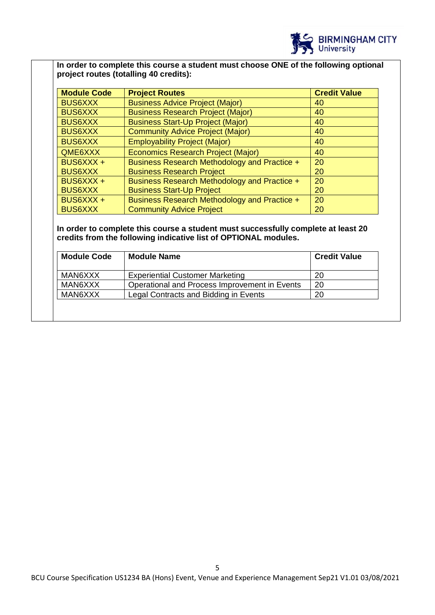

## **In order to complete this course a student must choose ONE of the following optional project routes (totalling 40 credits):**

| <b>Module Code</b> | <b>Project Routes</b>                        | <b>Credit Value</b> |
|--------------------|----------------------------------------------|---------------------|
| <b>BUS6XXX</b>     | <b>Business Advice Project (Major)</b>       | 40                  |
| <b>BUS6XXX</b>     | <b>Business Research Project (Major)</b>     | 40                  |
| <b>BUS6XXX</b>     | <b>Business Start-Up Project (Major)</b>     | 40                  |
| <b>BUS6XXX</b>     | <b>Community Advice Project (Major)</b>      | 40                  |
| <b>BUS6XXX</b>     | <b>Employability Project (Major)</b>         | 40                  |
| QME6XXX            | <b>Economics Research Project (Major)</b>    | 40                  |
| BUS6XXX +          | Business Research Methodology and Practice + | 20                  |
| <b>BUS6XXX</b>     | <b>Business Research Project</b>             | 20                  |
| BUS6XXX +          | Business Research Methodology and Practice + | 20                  |
| <b>BUS6XXX</b>     | <b>Business Start-Up Project</b>             | 20                  |
| BUS6XXX +          | Business Research Methodology and Practice + | 20                  |
| <b>BUS6XXX</b>     | <b>Community Advice Project</b>              | 20                  |

#### **In order to complete this course a student must successfully complete at least 20 credits from the following indicative list of OPTIONAL modules.**

| <b>Module Code</b> | <b>Module Name</b>                            | <b>Credit Value</b> |
|--------------------|-----------------------------------------------|---------------------|
| MAN6XXX            | <b>Experiential Customer Marketing</b>        | 20                  |
| MAN6XXX            | Operational and Process Improvement in Events | 20                  |
| MAN6XXX            | Legal Contracts and Bidding in Events         | 20                  |
|                    |                                               |                     |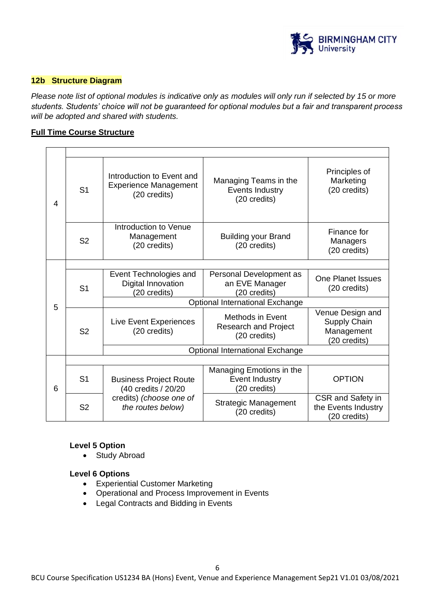

#### **12b Structure Diagram**

*Please note list of optional modules is indicative only as modules will only run if selected by 15 or more students. Students' choice will not be guaranteed for optional modules but a fair and transparent process will be adopted and shared with students.*

#### **Full Time Course Structure**

| $\overline{4}$ | S <sub>1</sub> | Introduction to Event and<br><b>Experience Management</b><br>(20 credits) | Managing Teams in the<br>Events Industry<br>(20 credits)        | Principles of<br>Marketing<br>(20 credits)                     |  |  |  |  |
|----------------|----------------|---------------------------------------------------------------------------|-----------------------------------------------------------------|----------------------------------------------------------------|--|--|--|--|
|                | S <sub>2</sub> | Introduction to Venue<br>Management<br>(20 credits)                       | <b>Building your Brand</b><br>(20 credits)                      | Finance for<br>Managers<br>(20 credits)                        |  |  |  |  |
|                |                |                                                                           |                                                                 |                                                                |  |  |  |  |
|                | S <sub>1</sub> | Event Technologies and<br>Digital Innovation<br>(20 credits)              | Personal Development as<br>an EVE Manager<br>(20 credits)       | One Planet Issues<br>(20 credits)                              |  |  |  |  |
| 5              |                | <b>Optional International Exchange</b>                                    |                                                                 |                                                                |  |  |  |  |
|                | S <sub>2</sub> | Live Event Experiences<br>(20 credits)                                    | Methods in Event<br><b>Research and Project</b><br>(20 credits) | Venue Design and<br>Supply Chain<br>Management<br>(20 credits) |  |  |  |  |
|                |                |                                                                           | <b>Optional International Exchange</b>                          |                                                                |  |  |  |  |
|                |                |                                                                           |                                                                 |                                                                |  |  |  |  |
| 6              | S <sub>1</sub> | <b>Business Project Route</b><br>(40 credits / 20/20                      | Managing Emotions in the<br>Event Industry<br>(20 credits)      | <b>OPTION</b>                                                  |  |  |  |  |
|                | S <sub>2</sub> | credits) (choose one of<br>the routes below)                              | <b>Strategic Management</b><br>(20 credits)                     | CSR and Safety in<br>the Events Industry<br>(20 credits)       |  |  |  |  |

#### **Level 5 Option**

• Study Abroad

#### **Level 6 Options**

- Experiential Customer Marketing
- Operational and Process Improvement in Events
- Legal Contracts and Bidding in Events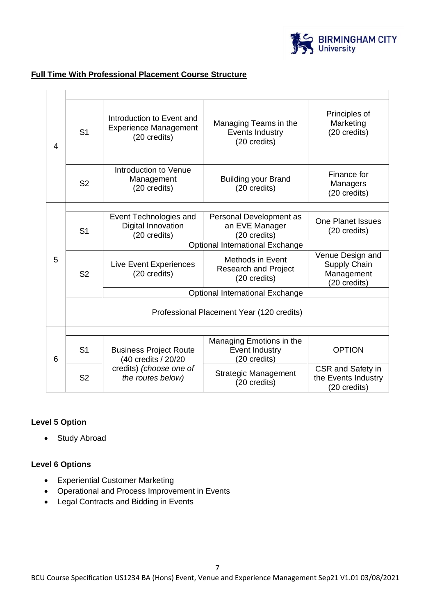

#### **Full Time With Professional Placement Course Structure**

| $\overline{4}$ | S <sub>1</sub>                            | Introduction to Event and<br><b>Experience Management</b><br>(20 credits) | Managing Teams in the<br><b>Events Industry</b><br>(20 credits)        | Principles of<br>Marketing<br>(20 credits)                     |  |  |  |
|----------------|-------------------------------------------|---------------------------------------------------------------------------|------------------------------------------------------------------------|----------------------------------------------------------------|--|--|--|
|                | S <sub>2</sub>                            | Introduction to Venue<br>Management<br>(20 credits)                       | <b>Building your Brand</b><br>(20 credits)                             | Finance for<br>Managers<br>(20 credits)                        |  |  |  |
|                |                                           |                                                                           |                                                                        |                                                                |  |  |  |
|                | S <sub>1</sub>                            | Event Technologies and<br>Digital Innovation<br>(20 credits)              | Personal Development as<br>an EVE Manager<br>(20 credits)              | <b>One Planet Issues</b><br>(20 credits)                       |  |  |  |
|                |                                           | Optional International Exchange                                           |                                                                        |                                                                |  |  |  |
| 5              | S <sub>2</sub>                            | Live Event Experiences<br>(20 credits)                                    | <b>Methods in Event</b><br><b>Research and Project</b><br>(20 credits) | Venue Design and<br>Supply Chain<br>Management<br>(20 credits) |  |  |  |
|                |                                           | Optional International Exchange                                           |                                                                        |                                                                |  |  |  |
|                | Professional Placement Year (120 credits) |                                                                           |                                                                        |                                                                |  |  |  |
| 6              |                                           |                                                                           |                                                                        |                                                                |  |  |  |
|                | S <sub>1</sub>                            | <b>Business Project Route</b><br>(40 credits / 20/20                      | Managing Emotions in the<br>Event Industry<br>(20 credits)             | <b>OPTION</b>                                                  |  |  |  |
|                | S <sub>2</sub>                            | credits) (choose one of<br>the routes below)                              | <b>Strategic Management</b><br>(20 credits)                            | CSR and Safety in<br>the Events Industry<br>(20 credits)       |  |  |  |

#### **Level 5 Option**

• Study Abroad

#### **Level 6 Options**

- Experiential Customer Marketing
- Operational and Process Improvement in Events
- Legal Contracts and Bidding in Events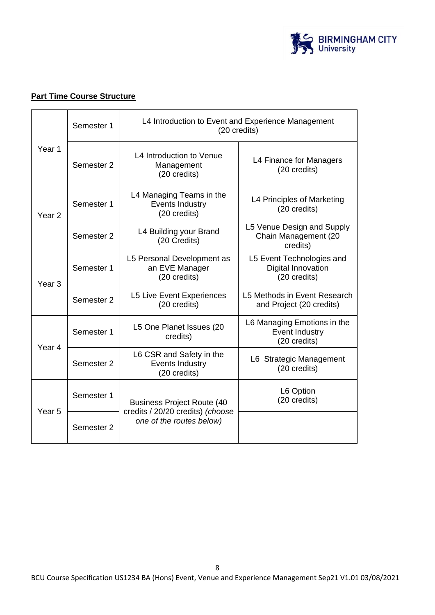

# **Part Time Course Structure**

|                   | Semester 1                                                                 | L4 Introduction to Event and Experience Management<br>(20 credits)    |                                                                 |  |
|-------------------|----------------------------------------------------------------------------|-----------------------------------------------------------------------|-----------------------------------------------------------------|--|
| Year <sub>1</sub> | Semester 2                                                                 | L4 Introduction to Venue<br>Management<br>(20 credits)                | L4 Finance for Managers<br>(20 credits)                         |  |
| Year <sub>2</sub> | Semester 1                                                                 | L4 Managing Teams in the<br>Events Industry<br>(20 credits)           | L4 Principles of Marketing<br>(20 credits)                      |  |
|                   | Semester 2                                                                 | L4 Building your Brand<br>(20 Credits)                                | L5 Venue Design and Supply<br>Chain Management (20<br>credits)  |  |
| Year <sub>3</sub> | L5 Personal Development as<br>Semester 1<br>an EVE Manager<br>(20 credits) |                                                                       | L5 Event Technologies and<br>Digital Innovation<br>(20 credits) |  |
|                   | Semester 2                                                                 | <b>L5 Live Event Experiences</b><br>(20 credits)                      | L5 Methods in Event Research<br>and Project (20 credits)        |  |
|                   | Semester 1                                                                 | L5 One Planet Issues (20<br>credits)                                  | L6 Managing Emotions in the<br>Event Industry<br>(20 credits)   |  |
| Year 4            | L6 CSR and Safety in the<br>Events Industry<br>Semester 2<br>(20 credits)  |                                                                       | L6 Strategic Management<br>(20 credits)                         |  |
| Year <sub>5</sub> | Semester 1                                                                 | <b>Business Project Route (40</b><br>credits / 20/20 credits) (choose | L6 Option<br>(20 credits)                                       |  |
|                   | Semester 2                                                                 | one of the routes below)                                              |                                                                 |  |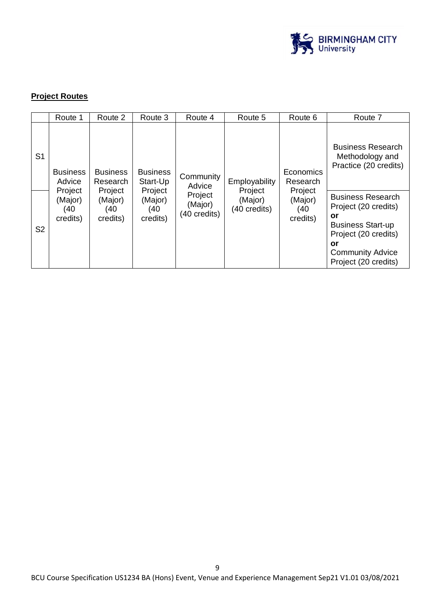

# **Project Routes**

|                | Route 1                               | Route 2                               | Route 3                                | Route 4                            | Route 5                            | Route 6                               | Route 7                                                                                                                                                             |
|----------------|---------------------------------------|---------------------------------------|----------------------------------------|------------------------------------|------------------------------------|---------------------------------------|---------------------------------------------------------------------------------------------------------------------------------------------------------------------|
| S <sub>1</sub> | <b>Business</b><br>Advice             | <b>Business</b><br>Research           | <b>Business</b><br>Start-Up            | Community<br>Advice                | Employability                      | Economics<br>Research                 | <b>Business Research</b><br>Methodology and<br>Practice (20 credits)                                                                                                |
| S <sub>2</sub> | Project<br>(Major)<br>(40<br>credits) | Project<br>(Major)<br>(40<br>credits) | Project<br>(Major)<br>(40)<br>credits) | Project<br>(Major)<br>(40 credits) | Project<br>(Major)<br>(40 credits) | Project<br>(Major)<br>(40<br>credits) | <b>Business Research</b><br>Project (20 credits)<br>or<br><b>Business Start-up</b><br>Project (20 credits)<br>or<br><b>Community Advice</b><br>Project (20 credits) |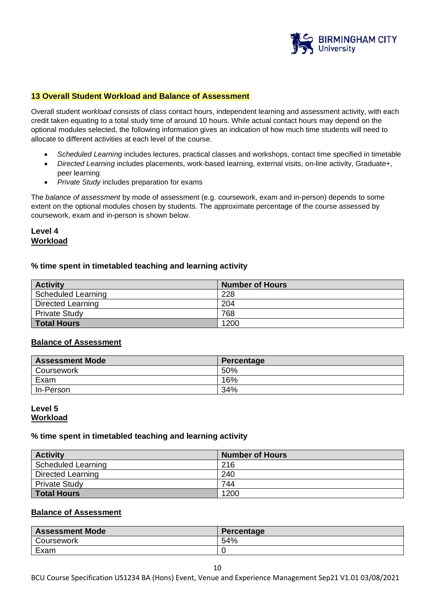

#### **13 Overall Student Workload and Balance of Assessment**

Overall student *workload* consists of class contact hours, independent learning and assessment activity, with each credit taken equating to a total study time of around 10 hours. While actual contact hours may depend on the optional modules selected, the following information gives an indication of how much time students will need to allocate to different activities at each level of the course.

- *Scheduled Learning* includes lectures, practical classes and workshops, contact time specified in timetable
- *Directed Learning* includes placements, work-based learning, external visits, on-line activity, Graduate+, peer learning
- *Private Study* includes preparation for exams

The *balance of assessment* by mode of assessment (e.g. coursework, exam and in-person) depends to some extent on the optional modules chosen by students. The approximate percentage of the course assessed by coursework, exam and in-person is shown below.

#### **Level 4 Workload**

#### **% time spent in timetabled teaching and learning activity**

| <b>Activity</b>           | <b>Number of Hours</b> |
|---------------------------|------------------------|
| <b>Scheduled Learning</b> | 228                    |
| Directed Learning         | 204                    |
| <b>Private Study</b>      | 768                    |
| <b>Total Hours</b>        | 1200                   |

#### **Balance of Assessment**

| <b>Assessment Mode</b> | Percentage |
|------------------------|------------|
| Coursework             | 50%        |
| Exam                   | 16%        |
| In-Person              | 34%        |

#### **Level 5 Workload**

#### **% time spent in timetabled teaching and learning activity**

| <b>Activity</b>           | <b>Number of Hours</b> |
|---------------------------|------------------------|
| <b>Scheduled Learning</b> | 216                    |
| Directed Learning         | 240                    |
| <b>Private Study</b>      | 744                    |
| <b>Total Hours</b>        | 1200                   |

#### **Balance of Assessment**

| <b>Assessment Mode</b> | Percentage |
|------------------------|------------|
| Coursework             | 54%        |
| Exam                   |            |

BCU Course Specification US1234 BA (Hons) Event, Venue and Experience Management Sep21 V1.01 03/08/2021